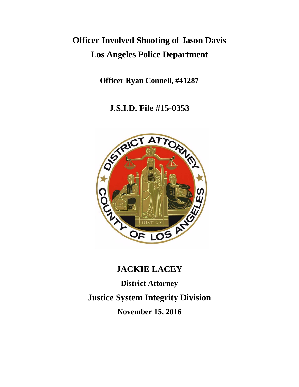# **Officer Involved Shooting of Jason Davis Los Angeles Police Department**

**Officer Ryan Connell, #41287**

**J.S.I.D. File #15-0353**



# **JACKIE LACEY**

**District Attorney Justice System Integrity Division November 15, 2016**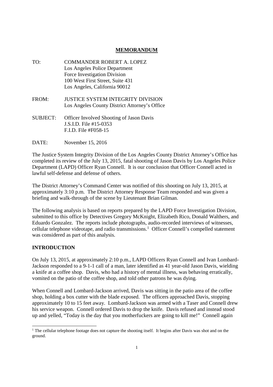# **MEMORANDUM**

- TO: COMMANDER ROBERT A. LOPEZ Los Angeles Police Department Force Investigation Division 100 West First Street, Suite 431 Los Angeles, California 90012 FROM: JUSTICE SYSTEM INTEGRITY DIVISION Los Angeles County District Attorney's Office SUBJECT: Officer Involved Shooting of Jason Davis J.S.I.D. File #15-0353 F.I.D. File #F058-15
- DATE: November 15, 2016

The Justice System Integrity Division of the Los Angeles County District Attorney's Office has completed its review of the July 13, 2015, fatal shooting of Jason Davis by Los Angeles Police Department (LAPD) Officer Ryan Connell. It is our conclusion that Officer Connell acted in lawful self-defense and defense of others.

The District Attorney's Command Center was notified of this shooting on July 13, 2015, at approximately 3:10 p.m. The District Attorney Response Team responded and was given a briefing and walk-through of the scene by Lieutenant Brian Gilman.

The following analysis is based on reports prepared by the LAPD Force Investigation Division, submitted to this office by Detectives Gregory McKnight, Elizabeth Rico, Donald Walthers, and Eduardo Gonzalez. The reports include photographs, audio-recorded interviews of witnesses, cellular telephone videotape, and radio transmissions.<sup>1</sup> Officer Connell's compelled statement was considered as part of this analysis.

## **INTRODUCTION**

On July 13, 2015, at approximately 2:10 p.m., LAPD Officers Ryan Connell and Ivan Lombard-Jackson responded to a 9-1-1 call of a man, later identified as 41 year-old Jason Davis, wielding a knife at a coffee shop. Davis, who had a history of mental illness, was behaving erratically, vomited on the patio of the coffee shop, and told other patrons he was dying.

When Connell and Lombard-Jackson arrived, Davis was sitting in the patio area of the coffee shop, holding a box cutter with the blade exposed. The officers approached Davis, stopping approximately 10 to 15 feet away. Lombard-Jackson was armed with a Taser and Connell drew his service weapon. Connell ordered Davis to drop the knife. Davis refused and instead stood up and yelled, "Today is the day that you motherfuckers are going to kill me!" Connell again

<sup>&</sup>lt;sup>1</sup> The cellular telephone footage does not capture the shooting itself. It begins after Davis was shot and on the ground.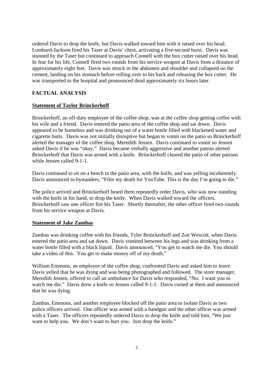ordered Davis to drop the knife, but Davis walked toward him with it raised over his head. Lombard-Jackson fired his Taser at Davis' chest, activating a five-second burst. Davis was stunned by the Taser but continued to approach Connell with the box cutter raised over his head. In fear for his life, Connell fired two rounds from his service weapon at Davis from a distance of approximately eight feet. Davis was struck in the abdomen and shoulder and collapsed on the cement, landing on his stomach before rolling over to his back and releasing the box cutter. He was transported to the hospital and pronounced dead approximately six hours later.

#### **FACTUAL ANALYSIS**

#### **Statement of Taylor Brinckerhoff**

Brinckerhoff, an off-duty employee of the coffee shop, was at the coffee shop getting coffee with his wife and a friend. Davis entered the patio area of the coffee shop and sat down. Davis appeared to be homeless and was drinking out of a water bottle filled with blackened water and cigarette butts. Davis was not initially disruptive but began to vomit on the patio so Brinckerhoff alerted the manager of the coffee shop, Meredith Jensen. Davis continued to vomit so Jensen asked Davis if he was "okay." Davis became verbally aggressive and another patron alerted Brinckerhoff that Davis was armed with a knife. Brinckerhoff cleared the patio of other patrons while Jensen called 9-1-1.

Davis continued to sit on a bench in the patio area, with the knife, and was yelling incoherently. Davis announced to bystanders, "Film my death for YouTube. This is the day I'm going to die."

The police arrived and Brinckerhoff heard them repeatedly order Davis, who was now standing with the knife in his hand, to drop the knife. When Davis walked toward the officers, Brinckerhoff saw one officer fire his Taser. Shortly thereafter, the other officer fired two rounds from his service weapon at Davis.

#### **Statement of Jake Zambas**

Zambas was drinking coffee with his friends, Tyler Brinckerhoff and Zoe Wescott, when Davis entered the patio area and sat down. Davis vomited between his legs and was drinking from a water bottle filled with a black liquid. Davis announced, "You get to watch me die. You should take a video of this. You get to make money off of my death."

William Emmons, an employee of the coffee shop, confronted Davis and asked him to leave. Davis yelled that he was dying and was being photographed and followed. The store manager, Meredith Jensen, offered to call an ambulance for Davis who responded, "No. I want you to watch me die." Davis drew a knife so Jensen called 9-1-1. Davis cursed at them and announced that he was dying.

Zambas, Emmons, and another employee blocked off the patio area to isolate Davis as two police officers arrived. One officer was armed with a handgun and the other officer was armed with a Taser. The officers repeatedly ordered Davis to drop the knife and told him, "We just want to help you. We don't want to hurt you. Just drop the knife."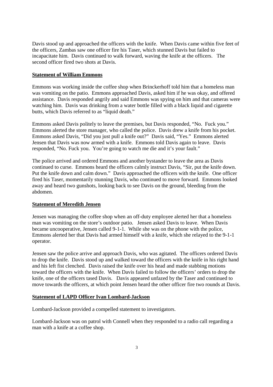Davis stood up and approached the officers with the knife. When Davis came within five feet of the officers, Zambas saw one officer fire his Taser, which stunned Davis but failed to incapacitate him. Davis continued to walk forward, waving the knife at the officers. The second officer fired two shots at Davis.

#### **Statement of William Emmons**

Emmons was working inside the coffee shop when Brinckerhoff told him that a homeless man was vomiting on the patio. Emmons approached Davis, asked him if he was okay, and offered assistance. Davis responded angrily and said Emmons was spying on him and that cameras were watching him. Davis was drinking from a water bottle filled with a black liquid and cigarette butts, which Davis referred to as "liquid death."

Emmons asked Davis politely to leave the premises, but Davis responded, "No. Fuck you." Emmons alerted the store manager, who called the police. Davis drew a knife from his pocket. Emmons asked Davis, "Did you just pull a knife out?" Davis said, "Yes." Emmons alerted Jensen that Davis was now armed with a knife. Emmons told Davis again to leave. Davis responded, "No. Fuck you. You're going to watch me die and it's your fault."

The police arrived and ordered Emmons and another bystander to leave the area as Davis continued to curse. Emmons heard the officers calmly instruct Davis, "Sir, put the knife down. Put the knife down and calm down." Davis approached the officers with the knife. One officer fired his Taser, momentarily stunning Davis, who continued to move forward. Emmons looked away and heard two gunshots, looking back to see Davis on the ground, bleeding from the abdomen.

## **Statement of Meredith Jensen**

Jensen was managing the coffee shop when an off-duty employee alerted her that a homeless man was vomiting on the store's outdoor patio. Jensen asked Davis to leave. When Davis became uncooperative, Jensen called 9-1-1. While she was on the phone with the police, Emmons alerted her that Davis had armed himself with a knife, which she relayed to the 9-1-1 operator.

Jensen saw the police arrive and approach Davis, who was agitated. The officers ordered Davis to drop the knife. Davis stood up and walked toward the officers with the knife in his right hand and his left fist clenched. Davis raised the knife over his head and made stabbing motions toward the officers with the knife. When Davis failed to follow the officers' orders to drop the knife, one of the officers tased Davis. Davis appeared unfazed by the Taser and continued to move towards the officers, at which point Jensen heard the other officer fire two rounds at Davis.

#### **Statement of LAPD Officer Ivan Lombard-Jackson**

Lombard-Jackson provided a compelled statement to investigators.

Lombard-Jackson was on patrol with Connell when they responded to a radio call regarding a man with a knife at a coffee shop.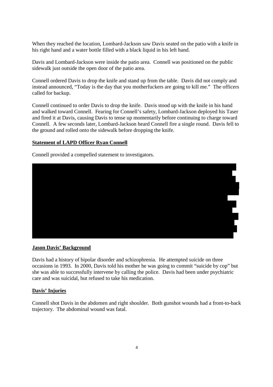When they reached the location, Lombard-Jackson saw Davis seated on the patio with a knife in his right hand and a water bottle filled with a black liquid in his left hand.

Davis and Lombard-Jackson were inside the patio area. Connell was positioned on the public sidewalk just outside the open door of the patio area.

Connell ordered Davis to drop the knife and stand up from the table. Davis did not comply and instead announced, "Today is the day that you motherfuckers are going to kill me." The officers called for backup.

Connell continued to order Davis to drop the knife. Davis stood up with the knife in his hand and walked toward Connell. Fearing for Connell's safety, Lombard-Jackson deployed his Taser and fired it at Davis, causing Davis to tense up momentarily before continuing to charge toward Connell. A few seconds later, Lombard-Jackson heard Connell fire a single round. Davis fell to the ground and rolled onto the sidewalk before dropping the knife.

#### **Statement of LAPD Officer Ryan Connell**

Connell provided a compelled statement to investigators.



#### **Jason Davis' Background**

Davis had a history of bipolar disorder and schizophrenia. He attempted suicide on three occasions in 1993. In 2000, Davis told his mother he was going to commit "suicide by cop" but she was able to successfully intervene by calling the police. Davis had been under psychiatric care and was suicidal, but refused to take his medication.

#### **Davis' Injuries**

Connell shot Davis in the abdomen and right shoulder. Both gunshot wounds had a front-to-back trajectory. The abdominal wound was fatal.